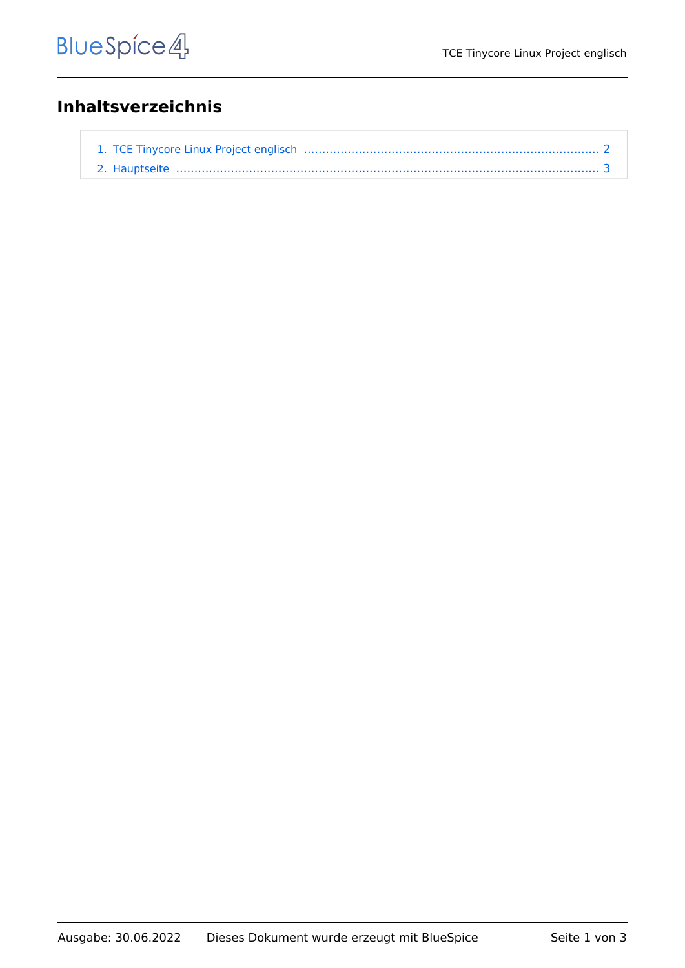## **Inhaltsverzeichnis**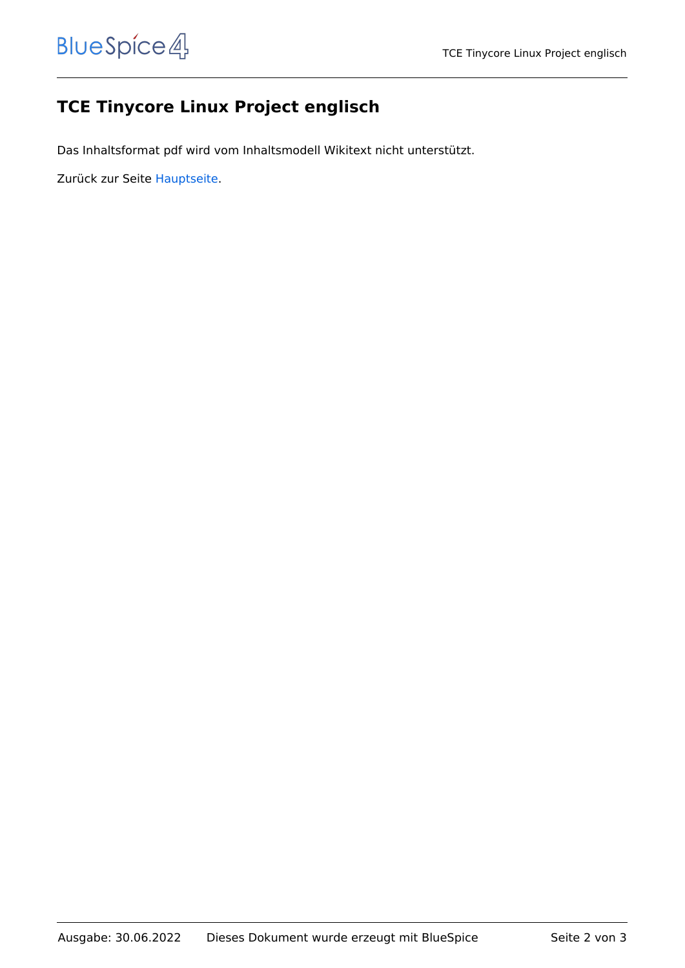## <span id="page-1-0"></span>**TCE Tinycore Linux Project englisch**

Das Inhaltsformat pdf wird vom Inhaltsmodell Wikitext nicht unterstützt.

Zurück zur Seite [Hauptseite.](#page-2-0)